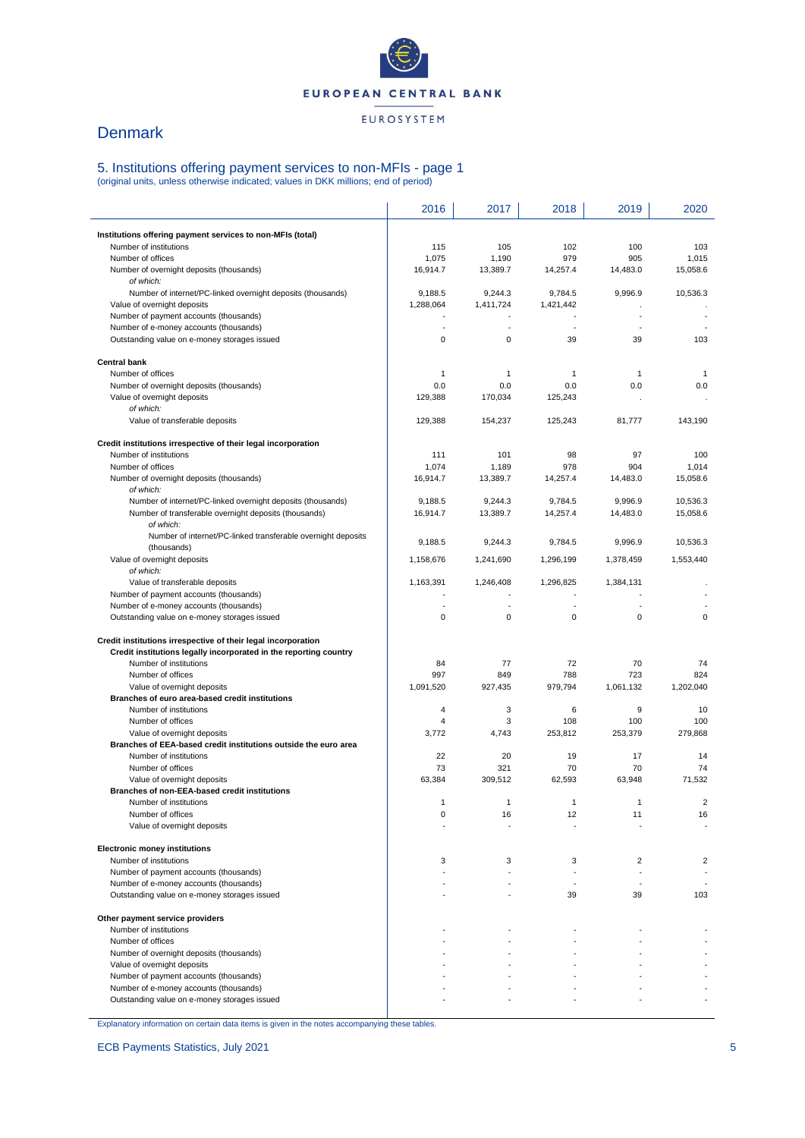

## **Denmark**

#### 5. Institutions offering payment services to non-MFIs - page 1 (original units, unless otherwise indicated; values in DKK millions; end of period)

|                                                                                  | 2016                 | 2017                 | 2018                 | 2019                     | 2020           |
|----------------------------------------------------------------------------------|----------------------|----------------------|----------------------|--------------------------|----------------|
| Institutions offering payment services to non-MFIs (total)                       |                      |                      |                      |                          |                |
| Number of institutions                                                           | 115                  | 105                  | 102                  | 100                      | 103            |
| Number of offices                                                                | 1,075                | 1,190                | 979                  | 905                      | 1,015          |
| Number of overnight deposits (thousands)                                         | 16,914.7             | 13,389.7             | 14,257.4             | 14,483.0                 | 15,058.6       |
| of which:                                                                        |                      |                      |                      |                          |                |
| Number of internet/PC-linked overnight deposits (thousands)                      | 9,188.5<br>1,288,064 | 9,244.3<br>1,411,724 | 9,784.5<br>1,421,442 | 9,996.9                  | 10,536.3       |
| Value of overnight deposits<br>Number of payment accounts (thousands)            |                      |                      |                      | $\overline{\phantom{a}}$ | ÷              |
| Number of e-money accounts (thousands)                                           |                      |                      | ٠                    |                          |                |
| Outstanding value on e-money storages issued                                     | $\mathbf 0$          | 0                    | 39                   | 39                       | 103            |
| <b>Central bank</b>                                                              |                      |                      |                      |                          |                |
| Number of offices                                                                | $\mathbf{1}$         | 1                    | 1                    | $\mathbf{1}$             | $\mathbf{1}$   |
| Number of overnight deposits (thousands)                                         | 0.0                  | 0.0                  | 0.0                  | 0.0                      | 0.0            |
| Value of overnight deposits                                                      | 129,388              | 170,034              | 125,243              |                          |                |
| of which:                                                                        |                      |                      |                      |                          |                |
| Value of transferable deposits                                                   | 129,388              | 154,237              | 125,243              | 81,777                   | 143,190        |
| Credit institutions irrespective of their legal incorporation                    |                      |                      |                      |                          |                |
| Number of institutions                                                           | 111                  | 101                  | 98                   | 97                       | 100            |
| Number of offices                                                                | 1,074                | 1,189                | 978                  | 904                      | 1,014          |
| Number of overnight deposits (thousands)                                         | 16,914.7             | 13,389.7             | 14,257.4             | 14,483.0                 | 15,058.6       |
| of which:                                                                        |                      |                      |                      |                          |                |
| Number of internet/PC-linked overnight deposits (thousands)                      | 9,188.5              | 9.244.3              | 9,784.5              | 9.996.9                  | 10,536.3       |
| Number of transferable overnight deposits (thousands)<br>of which:               | 16,914.7             | 13,389.7             | 14,257.4             | 14,483.0                 | 15,058.6       |
| Number of internet/PC-linked transferable overnight deposits                     | 9,188.5              | 9,244.3              | 9.784.5              | 9.996.9                  | 10.536.3       |
| (thousands)                                                                      |                      |                      |                      |                          |                |
| Value of overnight deposits<br>of which:                                         | 1,158,676            | 1,241,690            | 1,296,199            | 1,378,459                | 1,553,440      |
| Value of transferable deposits                                                   | 1,163,391            | 1,246,408            | 1,296,825            | 1,384,131                |                |
| Number of payment accounts (thousands)                                           |                      |                      |                      |                          |                |
| Number of e-money accounts (thousands)                                           |                      |                      |                      |                          |                |
| Outstanding value on e-money storages issued                                     | $\mathbf 0$          | 0                    | 0                    | 0                        | 0              |
| Credit institutions irrespective of their legal incorporation                    |                      |                      |                      |                          |                |
| Credit institutions legally incorporated in the reporting country                |                      |                      |                      |                          |                |
| Number of institutions                                                           | 84                   | 77                   | 72                   | 70                       | 74             |
| Number of offices                                                                | 997                  | 849                  | 788                  | 723                      | 824            |
| Value of overnight deposits                                                      | 1,091,520            | 927,435              | 979,794              | 1,061,132                | 1,202,040      |
| Branches of euro area-based credit institutions                                  |                      |                      |                      |                          |                |
| Number of institutions                                                           | $\overline{4}$       | 3                    | 6                    | 9                        | 10             |
| Number of offices<br>Value of overnight deposits                                 | 4<br>3,772           | 3<br>4,743           | 108<br>253,812       | 100<br>253,379           | 100<br>279,868 |
| Branches of EEA-based credit institutions outside the euro area                  |                      |                      |                      |                          |                |
| Number of institutions                                                           | 22                   | 20                   | 19                   | 17                       | 14             |
| Number of offices                                                                | 73                   | 321                  | 70                   | 70                       | 74             |
| Value of overnight deposits                                                      | 63,384               | 309,512              | 62,593               | 63,948                   | 71,532         |
| Branches of non-EEA-based credit institutions                                    |                      |                      |                      |                          |                |
| Number of institutions                                                           | 1                    |                      |                      |                          | 2              |
| Number of offices                                                                | 0                    | 16                   | 12                   | 11                       | 16             |
| Value of overnight deposits                                                      |                      |                      |                      |                          |                |
| <b>Electronic money institutions</b>                                             |                      |                      |                      |                          |                |
| Number of institutions                                                           | 3                    | 3                    | 3                    | 2                        | 2              |
| Number of payment accounts (thousands)                                           |                      |                      |                      | $\overline{a}$           |                |
| Number of e-money accounts (thousands)                                           |                      |                      |                      | $\blacksquare$           |                |
| Outstanding value on e-money storages issued                                     |                      |                      | 39                   | 39                       | 103            |
| Other payment service providers                                                  |                      |                      |                      |                          |                |
| Number of institutions                                                           |                      |                      |                      |                          |                |
| Number of offices                                                                |                      |                      |                      |                          |                |
| Number of overnight deposits (thousands)                                         |                      |                      |                      |                          |                |
| Value of overnight deposits                                                      |                      |                      |                      |                          |                |
| Number of payment accounts (thousands)<br>Number of e-money accounts (thousands) |                      |                      |                      |                          |                |
| Outstanding value on e-money storages issued                                     |                      |                      |                      |                          |                |
|                                                                                  |                      |                      |                      |                          |                |

Explanatory information on certain data items is given in the notes accompanying these tables.

ECB Payments Statistics, July 2021 5